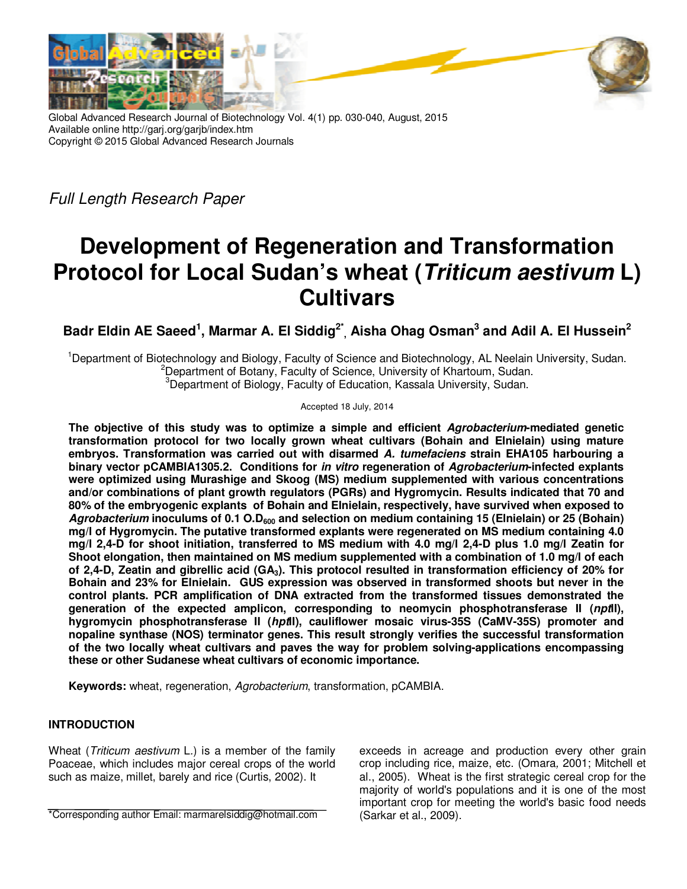

Global Advanced Research Journal of Biotechnology Vol. 4(1) pp. 030-040, August, 2015 Available online http://garj.org/garjb/index.htm Copyright © 2015 Global Advanced Research Journals

Full Length Research Paper

# **Development of Regeneration and Transformation Protocol for Local Sudan's wheat (Triticum aestivum L) Cultivars**

**Badr Eldin AE Saeed<sup>1</sup> , Marmar A. El Siddig2\* , Aisha Ohag Osman<sup>3</sup> and Adil A. El Hussein<sup>2</sup>**

<sup>1</sup>Department of Biotechnology and Biology, Faculty of Science and Biotechnology, AL Neelain University, Sudan. <sup>2</sup>Department of Botany, Faculty of Science, University of Khartoum, Sudan. <sup>3</sup> Department of Biology, Faculty of Education, Kassala University, Sudan.

Accepted 18 July, 2014

**The objective of this study was to optimize a simple and efficient Agrobacterium-mediated genetic transformation protocol for two locally grown wheat cultivars (Bohain and Elnielain) using mature embryos. Transformation was carried out with disarmed A. tumefaciens strain EHA105 harbouring a binary vector pCAMBIA1305.2. Conditions for in vitro regeneration of Agrobacterium-infected explants were optimized using Murashige and Skoog (MS) medium supplemented with various concentrations and/or combinations of plant growth regulators (PGRs) and Hygromycin. Results indicated that 70 and 80% of the embryogenic explants of Bohain and Elnielain, respectively, have survived when exposed to Agrobacterium inoculums of 0.1 O.D600 and selection on medium containing 15 (Elnielain) or 25 (Bohain) mg/l of Hygromycin. The putative transformed explants were regenerated on MS medium containing 4.0 mg/l 2,4-D for shoot initiation, transferred to MS medium with 4.0 mg/l 2,4-D plus 1.0 mg/l Zeatin for Shoot elongation, then maintained on MS medium supplemented with a combination of 1.0 mg/l of each of 2,4-D, Zeatin and gibrellic acid (GA3). This protocol resulted in transformation efficiency of 20% for Bohain and 23% for Elnielain. GUS expression was observed in transformed shoots but never in the control plants. PCR amplification of DNA extracted from the transformed tissues demonstrated the generation of the expected amplicon, corresponding to neomycin phosphotransferase II (nptII), hygromycin phosphotransferase II (hptII), cauliflower mosaic virus-35S (CaMV-35S) promoter and nopaline synthase (NOS) terminator genes. This result strongly verifies the successful transformation of the two locally wheat cultivars and paves the way for problem solving-applications encompassing these or other Sudanese wheat cultivars of economic importance.** 

**Keywords:** wheat, regeneration, Agrobacterium, transformation, pCAMBIA.

## **INTRODUCTION**

Wheat (*Triticum aestivum* L.) is a member of the family Poaceae, which includes major cereal crops of the world such as maize, millet, barely and rice (Curtis, 2002). It

\*Corresponding author Email: marmarelsiddig@hotmail.com

exceeds in acreage and production every other grain crop including rice, maize, etc. (Omara, 2001; Mitchell et al., 2005). Wheat is the first strategic cereal crop for the majority of world's populations and it is one of the most important crop for meeting the world's basic food needs (Sarkar et al., 2009).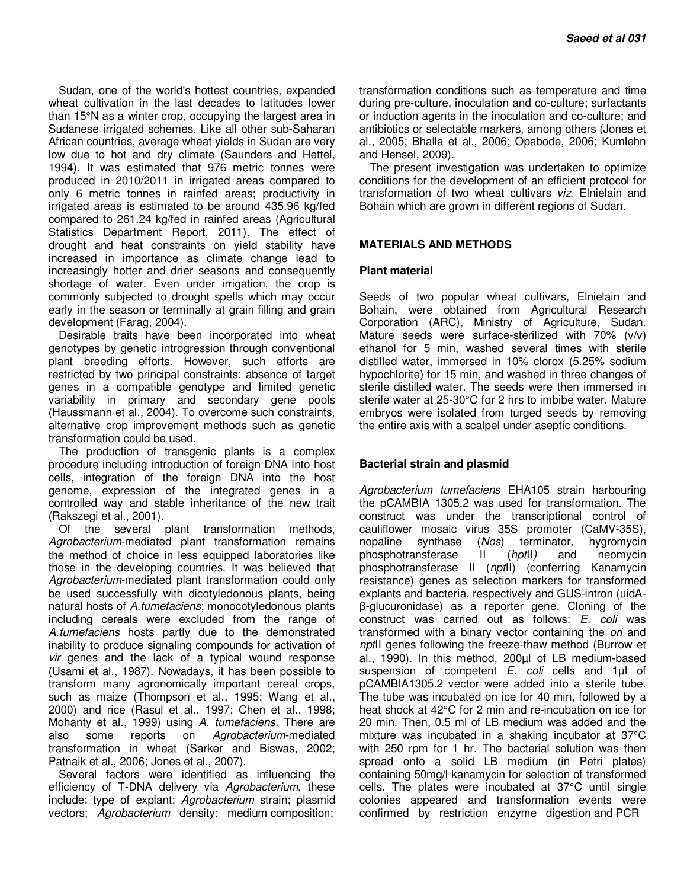Sudan, one of the world's hottest countries, expanded wheat cultivation in the last decades to latitudes lower than 15°N as a winter crop, occupying the largest area in Sudanese irrigated schemes. Like all other sub-Saharan African countries, average wheat yields in Sudan are very low due to hot and dry climate (Saunders and Hettel, 1994). It was estimated that 976 metric tonnes were produced in 2010/2011 in irrigated areas compared to only 6 metric tonnes in rainfed areas; productivity in irrigated areas is estimated to be around 435.96 kg/fed compared to 261.24 kg/fed in rainfed areas (Agricultural Statistics Department Report, 2011). The effect of drought and heat constraints on yield stability have increased in importance as climate change lead to increasingly hotter and drier seasons and consequently shortage of water. Even under irrigation, the crop is commonly subjected to drought spells which may occur early in the season or terminally at grain filling and grain development (Farag, 2004).

Desirable traits have been incorporated into wheat genotypes by genetic introgression through conventional plant breeding efforts. However, such efforts are restricted by two principal constraints: absence of target genes in a compatible genotype and limited genetic variability in primary and secondary gene pools (Haussmann et al., 2004). To overcome such constraints, alternative crop improvement methods such as genetic transformation could be used.

The production of transgenic plants is a complex procedure including introduction of foreign DNA into host cells, integration of the foreign DNA into the host genome, expression of the integrated genes in a controlled way and stable inheritance of the new trait (Rakszegi et al., 2001).

Of the several plant transformation methods, Agrobacterium-mediated plant transformation remains the method of choice in less equipped laboratories like those in the developing countries. It was believed that Agrobacterium-mediated plant transformation could only be used successfully with dicotyledonous plants, being natural hosts of A.tumefaciens; monocotyledonous plants including cereals were excluded from the range of A.tumefaciens hosts partly due to the demonstrated inability to produce signaling compounds for activation of vir genes and the lack of a typical wound response (Usami et al., 1987). Nowadays, it has been possible to transform many agronomically important cereal crops, such as maize (Thompson et al., 1995; Wang et al., 2000) and rice (Rasul et al., 1997; Chen et al., 1998; Mohanty et al., 1999) using A. tumefaciens. There are also some reports on Agrobacterium-mediated transformation in wheat (Sarker and Biswas, 2002; Patnaik et al., 2006; Jones et al., 2007).

Several factors were identified as influencing the efficiency of T-DNA delivery via Agrobacterium, these include: type of explant; Agrobacterium strain; plasmid vectors; Agrobacterium density; medium composition;

transformation conditions such as temperature and time during pre-culture, inoculation and co-culture; surfactants or induction agents in the inoculation and co-culture; and antibiotics or selectable markers, among others (Jones et al., 2005; Bhalla et al., 2006; Opabode, 2006; Kumlehn and Hensel, 2009).

The present investigation was undertaken to optimize conditions for the development of an efficient protocol for transformation of two wheat cultivars viz. Elnielain and Bohain which are grown in different regions of Sudan.

## **MATERIALS AND METHODS**

## **Plant material**

Seeds of two popular wheat cultivars, Elnielain and Bohain, were obtained from Agricultural Research Corporation (ARC), Ministry of Agriculture, Sudan. Mature seeds were surface-sterilized with 70% (v/v) ethanol for 5 min, washed several times with sterile distilled water, immersed in 10% clorox (5.25% sodium hypochlorite) for 15 min, and washed in three changes of sterile distilled water. The seeds were then immersed in sterile water at 25-30°C for 2 hrs to imbibe water. Mature embryos were isolated from turged seeds by removing the entire axis with a scalpel under aseptic conditions.

## **Bacterial strain and plasmid**

Agrobacterium tumefaciens EHA105 strain harbouring the pCAMBIA 1305.2 was used for transformation. The construct was under the transcriptional control of cauliflower mosaic virus 35S promoter (CaMV-35S), nopaline synthase (Nos) terminator, hygromycin phosphotransferase II (hptII) and neomycin phosphotransferase II (nptll) (conferring Kanamycin resistance) genes as selection markers for transformed explants and bacteria, respectively and GUS-intron (uidAβ-glucuronidase) as a reporter gene. Cloning of the construct was carried out as follows: E. coli was transformed with a binary vector containing the *ori* and nptII genes following the freeze-thaw method (Burrow et al., 1990). In this method, 200µl of LB medium-based suspension of competent  $E$ . coli cells and 1 $\mu$ l of pCAMBIA1305.2 vector were added into a sterile tube. The tube was incubated on ice for 40 min, followed by a heat shock at 42°C for 2 min and re-incubation on ice for 20 min. Then, 0.5 ml of LB medium was added and the mixture was incubated in a shaking incubator at 37°C with 250 rpm for 1 hr. The bacterial solution was then spread onto a solid LB medium (in Petri plates) containing 50mg/l kanamycin for selection of transformed cells. The plates were incubated at 37°C until single colonies appeared and transformation events were confirmed by restriction enzyme digestion and PCR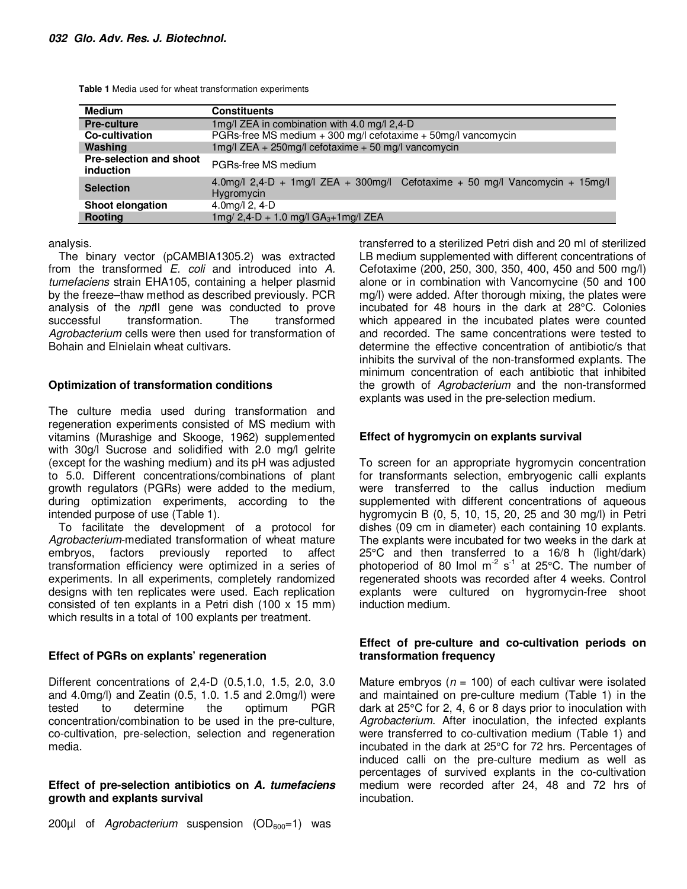| <b>Medium</b>                        | <b>Constituents</b>                                                                        |  |  |
|--------------------------------------|--------------------------------------------------------------------------------------------|--|--|
| <b>Pre-culture</b>                   | 1mg/l ZEA in combination with 4.0 mg/l 2,4-D                                               |  |  |
| Co-cultivation                       | PGRs-free MS medium + 300 mg/l cefotaxime + 50mg/l vancomycin                              |  |  |
| Washing                              | 1mg/l ZEA + 250mg/l cefotaxime + 50 mg/l vancomycin                                        |  |  |
| Pre-selection and shoot<br>induction | PGRs-free MS medium                                                                        |  |  |
| <b>Selection</b>                     | 4.0mg/l 2.4-D + 1mg/l ZEA + 300mg/l Cefotaxime + 50 mg/l Vancomycin + 15mg/l<br>Hygromycin |  |  |
| Shoot elongation                     | 4.0mg/l $2, 4-D$                                                                           |  |  |
| Rooting                              | $1mg/2,4-D + 1.0$ mg/l GA <sub>3</sub> +1mg/l ZEA                                          |  |  |

**Table 1** Media used for wheat transformation experiments

analysis.

The binary vector (pCAMBIA1305.2) was extracted from the transformed E. coli and introduced into A. tumefaciens strain EHA105, containing a helper plasmid by the freeze–thaw method as described previously. PCR analysis of the *npt*<sub>II</sub> gene was conducted to prove successful transformation. The transformed Agrobacterium cells were then used for transformation of Bohain and Elnielain wheat cultivars.

## **Optimization of transformation conditions**

The culture media used during transformation and regeneration experiments consisted of MS medium with vitamins (Murashige and Skooge, 1962) supplemented with 30g/l Sucrose and solidified with 2.0 mg/l gelrite (except for the washing medium) and its pH was adjusted to 5.0. Different concentrations/combinations of plant growth regulators (PGRs) were added to the medium, during optimization experiments, according to the intended purpose of use (Table 1).

To facilitate the development of a protocol for Agrobacterium-mediated transformation of wheat mature embryos, factors previously reported to affect transformation efficiency were optimized in a series of experiments. In all experiments, completely randomized designs with ten replicates were used. Each replication consisted of ten explants in a Petri dish (100 x 15 mm) which results in a total of 100 explants per treatment.

## **Effect of PGRs on explants' regeneration**

Different concentrations of 2,4-D (0.5,1.0, 1.5, 2.0, 3.0 and 4.0mg/l) and Zeatin (0.5, 1.0. 1.5 and 2.0mg/l) were tested to determine the optimum PGR concentration/combination to be used in the pre-culture, co-cultivation, pre-selection, selection and regeneration media.

## **Effect of pre-selection antibiotics on A. tumefaciens growth and explants survival**

200ul of Agrobacterium suspension (OD<sub>600</sub>=1) was

transferred to a sterilized Petri dish and 20 ml of sterilized LB medium supplemented with different concentrations of Cefotaxime (200, 250, 300, 350, 400, 450 and 500 mg/l) alone or in combination with Vancomycine (50 and 100 mg/l) were added. After thorough mixing, the plates were incubated for 48 hours in the dark at 28°C. Colonies which appeared in the incubated plates were counted and recorded. The same concentrations were tested to determine the effective concentration of antibiotic/s that inhibits the survival of the non-transformed explants. The minimum concentration of each antibiotic that inhibited the growth of Agrobacterium and the non-transformed explants was used in the pre-selection medium.

## **Effect of hygromycin on explants survival**

To screen for an appropriate hygromycin concentration for transformants selection, embryogenic calli explants were transferred to the callus induction medium supplemented with different concentrations of aqueous hygromycin B (0, 5, 10, 15, 20, 25 and 30 mg/l) in Petri dishes (09 cm in diameter) each containing 10 explants. The explants were incubated for two weeks in the dark at 25°C and then transferred to a 16/8 h (light/dark) photoperiod of 80 lmol  $m<sup>-2</sup>$  s<sup>-1</sup> at 25 $\degree$ C. The number of regenerated shoots was recorded after 4 weeks. Control explants were cultured on hygromycin-free shoot induction medium.

## **Effect of pre-culture and co-cultivation periods on transformation frequency**

Mature embryos ( $n = 100$ ) of each cultivar were isolated and maintained on pre-culture medium (Table 1) in the dark at 25°C for 2, 4, 6 or 8 days prior to inoculation with Agrobacterium. After inoculation, the infected explants were transferred to co-cultivation medium (Table 1) and incubated in the dark at 25°C for 72 hrs. Percentages of induced calli on the pre-culture medium as well as percentages of survived explants in the co-cultivation medium were recorded after 24, 48 and 72 hrs of incubation.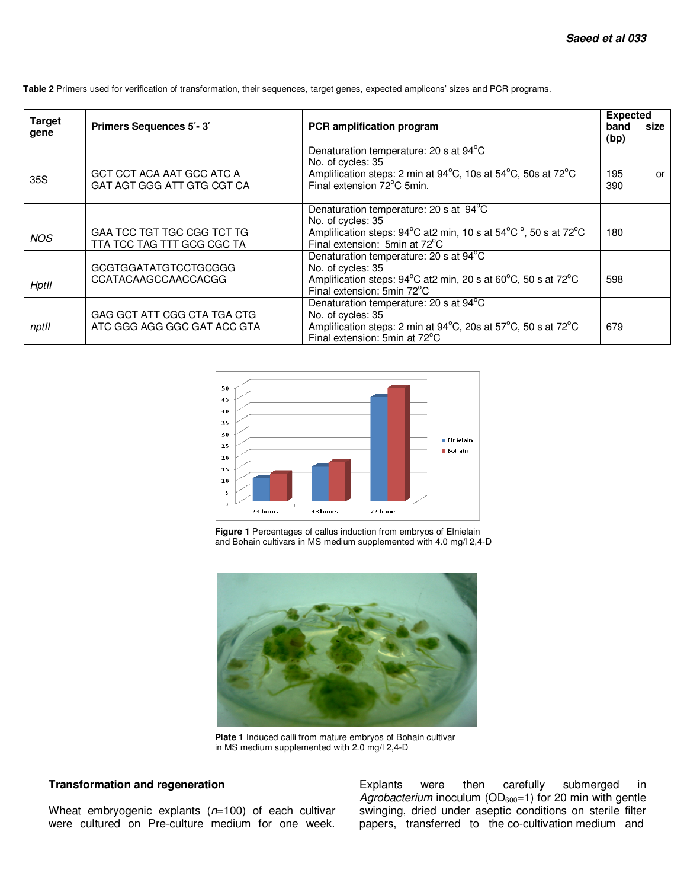| <b>Target</b><br>gene | Primers Sequences 5'-3'                                    | PCR amplification program                                                                                                                                       | <b>Expected</b><br>band<br>(bp) | size |
|-----------------------|------------------------------------------------------------|-----------------------------------------------------------------------------------------------------------------------------------------------------------------|---------------------------------|------|
| 35S                   | GCT CCT ACA AAT GCC ATC A<br>GAT AGT GGG ATT GTG CGT CA    | Denaturation temperature: 20 s at 94°C<br>No. of cycles: 35<br>Amplification steps: 2 min at 94°C, 10s at 54°C, 50s at 72°C<br>Final extension 72°C 5min.       | 195<br>390                      | or   |
| <b>NOS</b>            | GAA TCC TGT TGC CGG TCT TG<br>TTA TCC TAG TTT GCG CGC TA   | Denaturation temperature: 20 s at 94°C<br>No. of cycles: 35<br>Amplification steps: 94°C at2 min, 10 s at 54°C °, 50 s at 72°C<br>Final extension: 5min at 72°C | 180                             |      |
| Hptll                 | GCGTGGATATGTCCTGCGGG<br>CCATACAAGCCAACCACGG                | Denaturation temperature: 20 s at 94°C<br>No. of cycles: 35<br>Amplification steps: 94°C at2 min, 20 s at 60°C, 50 s at 72°C<br>Final extension: 5min 72°C      | 598                             |      |
| nptll                 | GAG GCT ATT CGG CTA TGA CTG<br>ATC GGG AGG GGC GAT ACC GTA | Denaturation temperature: 20 s at 94°C<br>No. of cycles: 35<br>Amplification steps: 2 min at 94°C, 20s at 57°C, 50 s at 72°C<br>Final extension: 5min at 72°C   | 679                             |      |

**Table 2** Primers used for verification of transformation, their sequences, target genes, expected amplicons' sizes and PCR programs.



**Figure 1** Percentages of callus induction from embryos of Elnielain and Bohain cultivars in MS medium supplemented with 4.0 mg/l 2,4-D



**Plate 1** Induced calli from mature embryos of Bohain cultivar in MS medium supplemented with 2.0 mg/l 2,4-D

## **Transformation and regeneration**

Wheat embryogenic explants  $(n=100)$  of each cultivar were cultured on Pre-culture medium for one week. Explants were then carefully submerged in Agrobacterium inoculum ( $OD<sub>600</sub>=1$ ) for 20 min with gentle swinging, dried under aseptic conditions on sterile filter papers, transferred to the co-cultivation medium and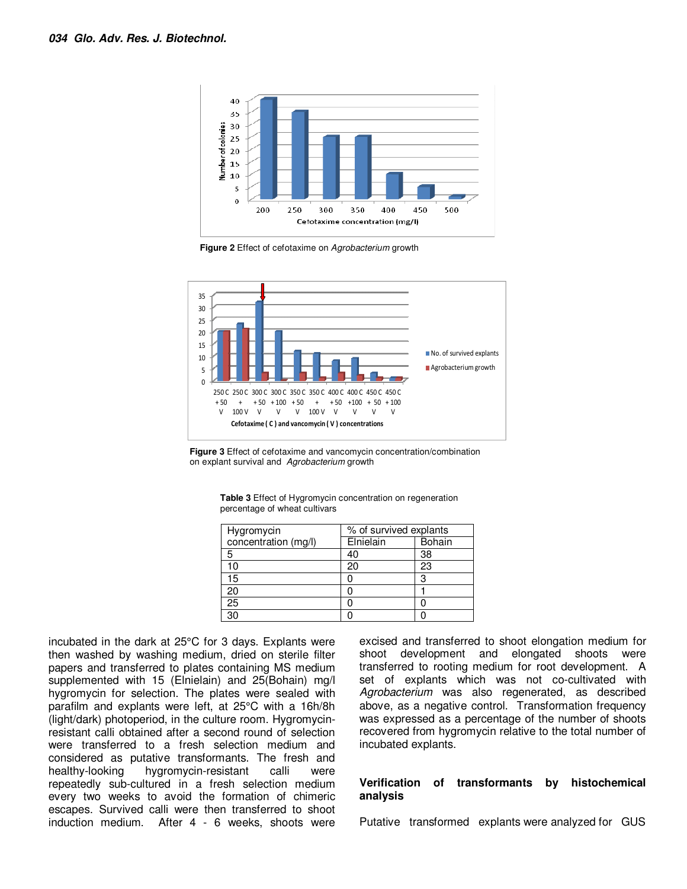

**Figure 2** Effect of cefotaxime on Agrobacterium growth





| <b>Table 3</b> Effect of Hygromycin concentration on regeneration |  |
|-------------------------------------------------------------------|--|
| percentage of wheat cultivars                                     |  |

| Hygromycin           | % of survived explants |               |  |
|----------------------|------------------------|---------------|--|
| concentration (mg/l) | Elnielain              | <b>Bohain</b> |  |
| 5                    | 40                     | 38            |  |
| 10                   | 20                     | 23            |  |
| 15                   |                        | з             |  |
| 20                   |                        |               |  |
| 25                   |                        |               |  |
| 30                   |                        |               |  |

incubated in the dark at 25°C for 3 days. Explants were then washed by washing medium, dried on sterile filter papers and transferred to plates containing MS medium supplemented with 15 (Elnielain) and 25(Bohain) mg/l hygromycin for selection. The plates were sealed with parafilm and explants were left, at 25°C with a 16h/8h (light/dark) photoperiod, in the culture room. Hygromycinresistant calli obtained after a second round of selection were transferred to a fresh selection medium and considered as putative transformants. The fresh and healthy-looking hygromycin-resistant calli were repeatedly sub-cultured in a fresh selection medium every two weeks to avoid the formation of chimeric escapes. Survived calli were then transferred to shoot induction medium. After 4 - 6 weeks, shoots were

excised and transferred to shoot elongation medium for shoot development and elongated shoots were transferred to rooting medium for root development. A set of explants which was not co-cultivated with Agrobacterium was also regenerated, as described above, as a negative control. Transformation frequency was expressed as a percentage of the number of shoots recovered from hygromycin relative to the total number of incubated explants.

## **Verification of transformants by histochemical analysis**

Putative transformed explants were analyzed for GUS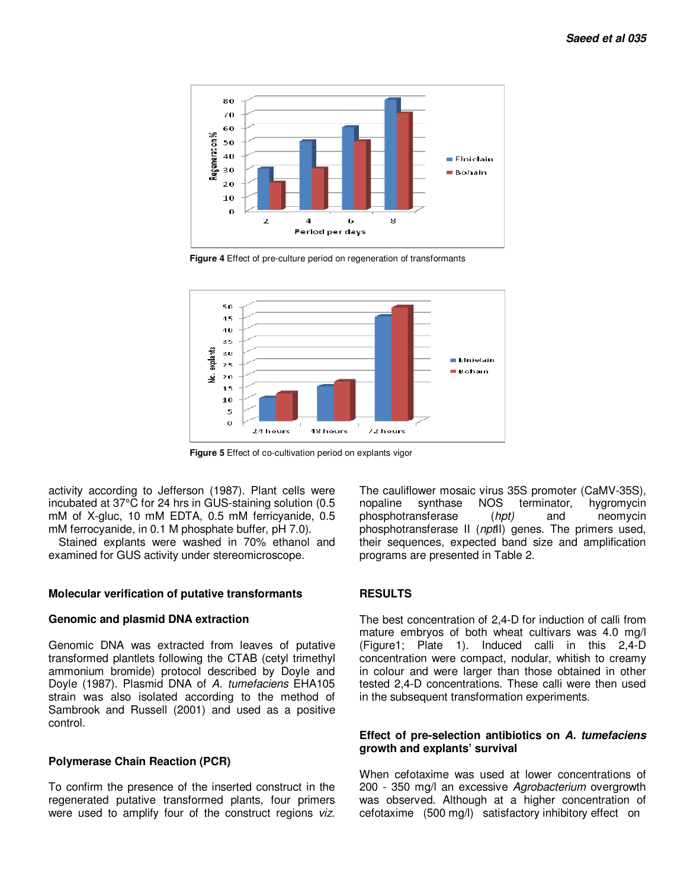

**Figure 4** Effect of pre-culture period on regeneration of transformants



**Figure 5** Effect of co-cultivation period on explants vigor

activity according to Jefferson (1987). Plant cells were incubated at 37°C for 24 hrs in GUS-staining solution (0.5 mM of X-gluc, 10 mM EDTA, 0.5 mM ferricyanide, 0.5 mM ferrocyanide, in 0.1 M phosphate buffer, pH 7.0).

Stained explants were washed in 70% ethanol and examined for GUS activity under stereomicroscope.

#### **Molecular verification of putative transformants**

#### **Genomic and plasmid DNA extraction**

Genomic DNA was extracted from leaves of putative transformed plantlets following the CTAB (cetyl trimethyl ammonium bromide) protocol described by Doyle and Doyle (1987). Plasmid DNA of A. tumefaciens EHA105 strain was also isolated according to the method of Sambrook and Russell (2001) and used as a positive control.

#### **Polymerase Chain Reaction (PCR)**

To confirm the presence of the inserted construct in the regenerated putative transformed plants, four primers were used to amplify four of the construct regions viz.

The cauliflower mosaic virus 35S promoter (CaMV-35S), nopaline synthase NOS terminator, hygromycin phosphotransferase (hpt) and neomycin phosphotransferase II (nptII) genes. The primers used, their sequences, expected band size and amplification programs are presented in Table 2.

#### **RESULTS**

The best concentration of 2,4-D for induction of calli from mature embryos of both wheat cultivars was 4.0 mg/l (Figure1; Plate 1). Induced calli in this 2,4-D concentration were compact, nodular, whitish to creamy in colour and were larger than those obtained in other tested 2,4-D concentrations. These calli were then used in the subsequent transformation experiments.

## **Effect of pre-selection antibiotics on A. tumefaciens growth and explants' survival**

When cefotaxime was used at lower concentrations of 200 - 350 mg/l an excessive Agrobacterium overgrowth was observed. Although at a higher concentration of cefotaxime (500 mg/l) satisfactory inhibitory effect on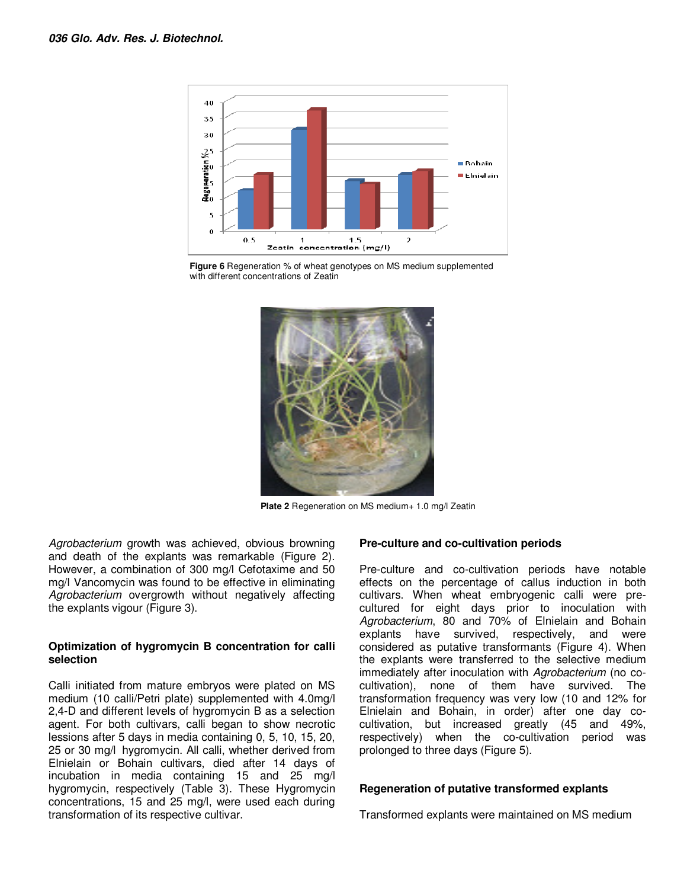

**Figure 6** Regeneration % of wheat genotypes on MS medium supplemented with different concentrations of Zeatin



Plate 2 Regeneration on MS medium+ 1.0 mg/l Zeatin

Agrobacterium growth was achieved, obvious browning and death of the explants was remarkable (Figure 2). However, a combination of 300 mg/l Cefotaxime and 50 mg/l Vancomycin was found to be effective in eliminating Agrobacterium overgrowth without negatively affecting the explants vigour (Figure 3).

### **Optimization of hygromycin B concentration for calli selection**

Calli initiated from mature embryos were plated on MS medium (10 calli/Petri plate) supplemented with 4.0mg/l 2,4-D and different levels of hygromycin B as a selection agent. For both cultivars, calli began to show necrotic lessions after 5 days in media containing 0, 5, 10, 15, 20, 25 or 30 mg/l hygromycin. All calli, whether derived from Elnielain or Bohain cultivars, died after 14 days of incubation in media containing 15 and 25 mg/l hygromycin, respectively (Table 3). These Hygromycin concentrations, 15 and 25 mg/l, were used each during transformation of its respective cultivar.

## **Pre-culture and co-cultivation periods**

Pre-culture and co-cultivation periods have notable effects on the percentage of callus induction in both cultivars. When wheat embryogenic calli were precultured for eight days prior to inoculation with Agrobacterium, 80 and 70% of Elnielain and Bohain explants have survived, respectively, and were considered as putative transformants (Figure 4). When the explants were transferred to the selective medium immediately after inoculation with Agrobacterium (no cocultivation), none of them have survived. The transformation frequency was very low (10 and 12% for Elnielain and Bohain, in order) after one day cocultivation, but increased greatly (45 and 49%, respectively) when the co-cultivation period was prolonged to three days (Figure 5).

#### **Regeneration of putative transformed explants**

Transformed explants were maintained on MS medium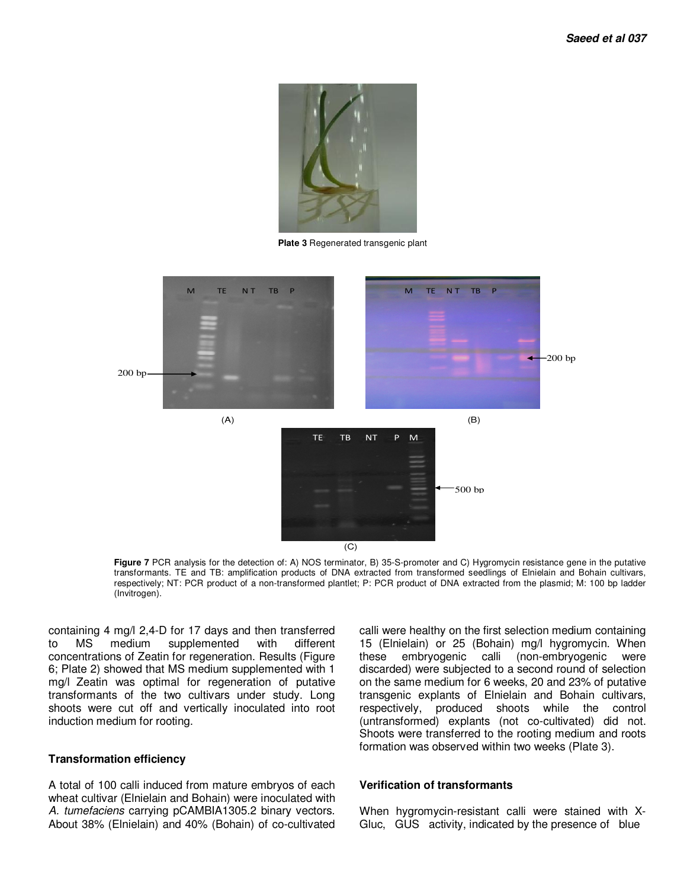

**Plate 3** Regenerated transgenic plant



**Figure 7** PCR analysis for the detection of: A) NOS terminator, B) 35-S-promoter and C) Hygromycin resistance gene in the putative transformants. TE and TB: amplification products of DNA extracted from transformed seedlings of Elnielain and Bohain cultivars, respectively; NT: PCR product of a non-transformed plantlet; P: PCR product of DNA extracted from the plasmid; M: 100 bp ladder (Invitrogen).

containing 4 mg/l 2,4-D for 17 days and then transferred to MS medium supplemented with different concentrations of Zeatin for regeneration. Results (Figure 6; Plate 2) showed that MS medium supplemented with 1 mg/l Zeatin was optimal for regeneration of putative transformants of the two cultivars under study. Long shoots were cut off and vertically inoculated into root induction medium for rooting.

### **Transformation efficiency**

A total of 100 calli induced from mature embryos of each wheat cultivar (Elnielain and Bohain) were inoculated with A. tumefaciens carrying pCAMBIA1305.2 binary vectors. About 38% (Elnielain) and 40% (Bohain) of co-cultivated

calli were healthy on the first selection medium containing 15 (Elnielain) or 25 (Bohain) mg/l hygromycin. When these embryogenic calli (non-embryogenic were discarded) were subjected to a second round of selection on the same medium for 6 weeks, 20 and 23% of putative transgenic explants of Elnielain and Bohain cultivars, respectively, produced shoots while the control (untransformed) explants (not co-cultivated) did not. Shoots were transferred to the rooting medium and roots formation was observed within two weeks (Plate 3).

#### **Verification of transformants**

When hygromycin-resistant calli were stained with X-Gluc, GUS activity, indicated by the presence of blue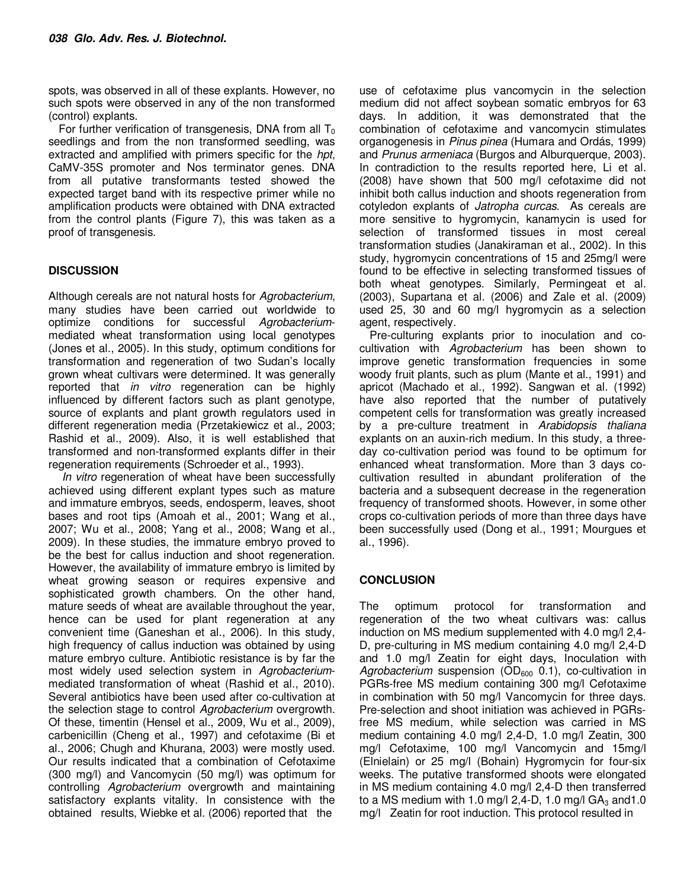spots, was observed in all of these explants. However, no such spots were observed in any of the non transformed (control) explants.

For further verification of transgenesis, DNA from all  $T_0$ seedlings and from the non transformed seedling, was extracted and amplified with primers specific for the hpt, CaMV-35S promoter and Nos terminator genes. DNA from all putative transformants tested showed the expected target band with its respective primer while no amplification products were obtained with DNA extracted from the control plants (Figure 7), this was taken as a proof of transgenesis.

## **DISCUSSION**

Although cereals are not natural hosts for Agrobacterium, many studies have been carried out worldwide to optimize conditions for successful Agrobacteriummediated wheat transformation using local genotypes (Jones et al., 2005). In this study, optimum conditions for transformation and regeneration of two Sudan's locally grown wheat cultivars were determined. It was generally reported that in vitro regeneration can be highly influenced by different factors such as plant genotype, source of explants and plant growth regulators used in different regeneration media (Przetakiewicz et al., 2003; Rashid et al., 2009). Also, it is well established that transformed and non-transformed explants differ in their regeneration requirements (Schroeder et al., 1993).

In vitro regeneration of wheat have been successfully achieved using different explant types such as mature and immature embryos, seeds, endosperm, leaves, shoot bases and root tips (Amoah et al., 2001; Wang et al., 2007; Wu et al., 2008; Yang et al., 2008; Wang et al., 2009). In these studies, the immature embryo proved to be the best for callus induction and shoot regeneration. However, the availability of immature embryo is limited by wheat growing season or requires expensive and sophisticated growth chambers. On the other hand, mature seeds of wheat are available throughout the year, hence can be used for plant regeneration at any convenient time (Ganeshan et al., 2006). In this study, high frequency of callus induction was obtained by using mature embryo culture. Antibiotic resistance is by far the most widely used selection system in Agrobacteriummediated transformation of wheat (Rashid et al., 2010). Several antibiotics have been used after co-cultivation at the selection stage to control Agrobacterium overgrowth. Of these, timentin (Hensel et al., 2009, Wu et al., 2009), carbenicillin (Cheng et al., 1997) and cefotaxime (Bi et al., 2006; Chugh and Khurana, 2003) were mostly used. Our results indicated that a combination of Cefotaxime (300 mg/l) and Vancomycin (50 mg/l) was optimum for controlling Agrobacterium overgrowth and maintaining satisfactory explants vitality. In consistence with the obtained results, Wiebke et al. (2006) reported that the

use of cefotaxime plus vancomycin in the selection medium did not affect soybean somatic embryos for 63 days. In addition, it was demonstrated that the combination of cefotaxime and vancomycin stimulates organogenesis in Pinus pinea (Humara and Ordás, 1999) and Prunus armeniaca (Burgos and Alburquerque, 2003). In contradiction to the results reported here, Li et al. (2008) have shown that 500 mg/l cefotaxime did not inhibit both callus induction and shoots regeneration from cotyledon explants of Jatropha curcas. As cereals are more sensitive to hygromycin, kanamycin is used for selection of transformed tissues in most cereal transformation studies (Janakiraman et al., 2002). In this study, hygromycin concentrations of 15 and 25mg/l were found to be effective in selecting transformed tissues of both wheat genotypes. Similarly, Permingeat et al. (2003), Supartana et al. (2006) and Zale et al. (2009) used 25, 30 and 60 mg/l hygromycin as a selection agent, respectively.

Pre-culturing explants prior to inoculation and cocultivation with Agrobacterium has been shown to improve genetic transformation frequencies in some woody fruit plants, such as plum (Mante et al., 1991) and apricot (Machado et al., 1992). Sangwan et al. (1992) have also reported that the number of putatively competent cells for transformation was greatly increased by a pre-culture treatment in Arabidopsis thaliana explants on an auxin-rich medium. In this study, a threeday co-cultivation period was found to be optimum for enhanced wheat transformation. More than 3 days cocultivation resulted in abundant proliferation of the bacteria and a subsequent decrease in the regeneration frequency of transformed shoots. However, in some other crops co-cultivation periods of more than three days have been successfully used (Dong et al., 1991; Mourgues et al., 1996).

## **CONCLUSION**

The optimum protocol for transformation and regeneration of the two wheat cultivars was: callus induction on MS medium supplemented with 4.0 mg/l 2,4- D, pre-culturing in MS medium containing 4.0 mg/l 2,4-D and 1.0 mg/l Zeatin for eight days, Inoculation with Agrobacterium suspension ( $OD_{600}$  0.1), co-cultivation in PGRs-free MS medium containing 300 mg/l Cefotaxime in combination with 50 mg/l Vancomycin for three days. Pre-selection and shoot initiation was achieved in PGRsfree MS medium, while selection was carried in MS medium containing 4.0 mg/l 2,4-D, 1.0 mg/l Zeatin, 300 mg/l Cefotaxime, 100 mg/l Vancomycin and 15mg/l (Elnielain) or 25 mg/l (Bohain) Hygromycin for four-six weeks. The putative transformed shoots were elongated in MS medium containing 4.0 mg/l 2,4-D then transferred to a MS medium with 1.0 mg/l 2,4-D, 1.0 mg/l  $GA<sub>3</sub>$  and 1.0 mg/l Zeatin for root induction. This protocol resulted in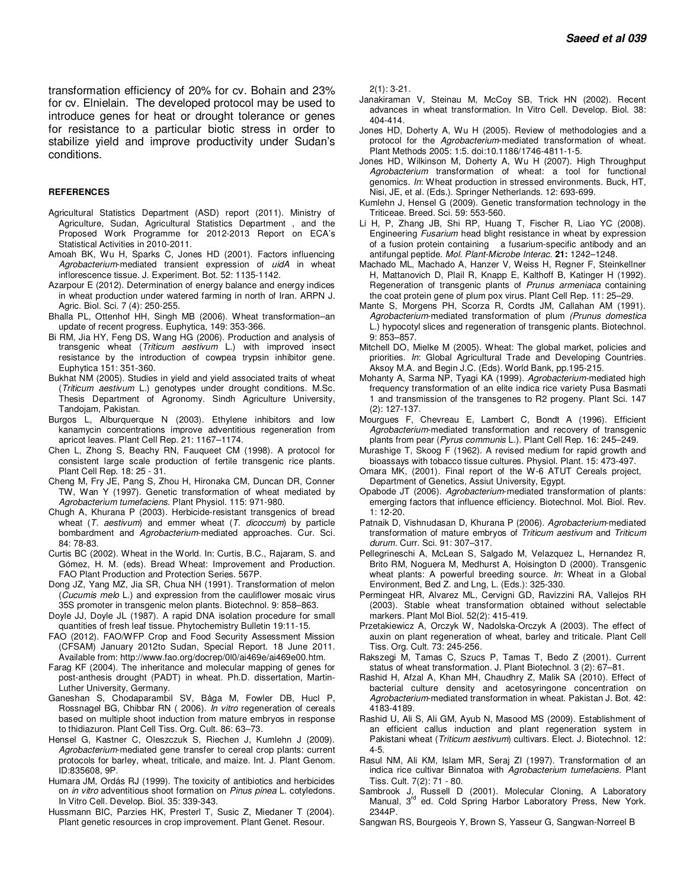transformation efficiency of 20% for cv. Bohain and 23% for cv. Elnielain. The developed protocol may be used to introduce genes for heat or drought tolerance or genes for resistance to a particular biotic stress in order to stabilize yield and improve productivity under Sudan's conditions.

#### **REFERENCES**

- Agricultural Statistics Department (ASD) report (2011). Ministry of Agriculture, Sudan, Agricultural Statistics Department , and the Proposed Work Programme for 2012-2013 Report on ECA's Statistical Activities in 2010-2011.
- Amoah BK, Wu H, Sparks C, Jones HD (2001). Factors influencing Agrobacterium-mediated transient expression of uidA in wheat inflorescence tissue. J. Experiment. Bot. 52: 1135-1142.
- Azarpour E (2012). Determination of energy balance and energy indices in wheat production under watered farming in north of Iran. ARPN J. Agric. Biol. Sci. 7 (4): 250-255.
- Bhalla PL, Ottenhof HH, Singh MB (2006). Wheat transformation–an update of recent progress. Euphytica, 149: 353-366.
- Bi RM, Jia HY, Feng DS, Wang HG (2006). Production and analysis of transgenic wheat (Triticum aestivum L.) with improved insect resistance by the introduction of cowpea trypsin inhibitor gene. Euphytica 151: 351-360.
- Bukhat NM (2005). Studies in yield and yield associated traits of wheat (Triticum aestivum L.) genotypes under drought conditions. M.Sc. Thesis Department of Agronomy. Sindh Agriculture University, Tandojam, Pakistan.
- Burgos L, Alburquerque N (2003). Ethylene inhibitors and low kanamycin concentrations improve adventitious regeneration from apricot leaves. Plant Cell Rep. 21: 1167–1174.
- Chen L, Zhong S, Beachy RN, Fauqueet CM (1998). A protocol for consistent large scale production of fertile transgenic rice plants. Plant Cell Rep. 18: 25 - 31.
- Cheng M, Fry JE, Pang S, Zhou H, Hironaka CM, Duncan DR, Conner TW, Wan Y (1997). Genetic transformation of wheat mediated by Agrobacterium tumefaciens. Plant Physiol. 115: 971-980.
- Chugh A, Khurana P (2003). Herbicide-resistant transgenics of bread wheat  $(T.$  aestivum) and emmer wheat  $(T.$  dicoccum) by particle bombardment and Agrobacterium-mediated approaches. Cur. Sci. 84: 78-83.
- Curtis BC (2002). Wheat in the World. In: Curtis, B.C., Rajaram, S. and Gómez, H. M. (eds). Bread Wheat: Improvement and Production. FAO Plant Production and Protection Series. 567P.
- Dong JZ, Yang MZ, Jia SR, Chua NH (1991). Transformation of melon (Cucumis melo L.) and expression from the cauliflower mosaic virus 35S promoter in transgenic melon plants. Biotechnol. 9: 858–863.
- Doyle JJ, Doyle JL (1987). A rapid DNA isolation procedure for small quantities of fresh leaf tissue. Phytochemistry Bulletin 19:11-15.
- FAO (2012). FAO/WFP Crop and Food Security Assessment Mission (CFSAM) January 2012to Sudan, Special Report. 18 June 2011. Available from: http://www.fao.org/docrep/0l0/ai469e/ai469e00.htm.
- Farag KF (2004). The inheritance and molecular mapping of genes for post-anthesis drought (PADT) in wheat. Ph.D. dissertation, Martin-Luther University, Germany.
- Ganeshan S, Chodaparambil SV, Båga M, Fowler DB, Hucl P, Rossnagel BG, Chibbar RN ( 2006). In vitro regeneration of cereals based on multiple shoot induction from mature embryos in response to thidiazuron. Plant Cell Tiss. Org. Cult. 86: 63–73.
- Hensel G, Kastner C, Oleszczuk S, Riechen J, Kumlehn J (2009). Agrobacterium-mediated gene transfer to cereal crop plants: current protocols for barley, wheat, triticale, and maize. Int. J. Plant Genom. ID:835608, 9P.
- Humara JM, Ordás RJ (1999). The toxicity of antibiotics and herbicides on *in vitro* adventitious shoot formation on *Pinus pinea* L. cotyledons. In Vitro Cell. Develop. Biol. 35: 339-343.
- Hussmann BIC, Parzies HK, Presterl T, Susic Z, Miedaner T (2004). Plant genetic resources in crop improvement. Plant Genet. Resour.

2(1): 3-21.

- Janakiraman V, Steinau M, McCoy SB, Trick HN (2002). Recent advances in wheat transformation. In Vitro Cell. Develop. Biol. 38: 404-414.
- Jones HD, Doherty A, Wu H (2005). Review of methodologies and a protocol for the Agrobacterium-mediated transformation of wheat. Plant Methods 2005: 1:5. doi:10.1186/1746-4811-1-5.
- Jones HD, Wilkinson M, Doherty A, Wu H (2007). High Throughput Agrobacterium transformation of wheat: a tool for functional genomics. In: Wheat production in stressed environments. Buck, HT, Nisi, JE, et al. (Eds.). Springer Netherlands. 12: 693-699.
- Kumlehn J, Hensel G (2009). Genetic transformation technology in the Triticeae. Breed. Sci. 59: 553-560.
- Li H, P, Zhang JB, Shi RP, Huang T, Fischer R, Liao YC (2008). Engineering Fusarium head blight resistance in wheat by expression of a fusion protein containing a fusarium-specific antibody and an antifungal peptide. Mol. Plant-Microbe Interac. **21:** 1242–1248.
- Machado ML, Machado A, Hanzer V, Weiss H, Regner F, Steinkellner H, Mattanovich D, Plail R, Knapp E, Kalthoff B, Katinger H (1992). Regeneration of transgenic plants of Prunus armeniaca containing the coat protein gene of plum pox virus. Plant Cell Rep. 11: 25–29.
- Mante S, Morgens PH, Scorza R, Cordts JM, Callahan AM (1991). Agrobacterium-mediated transformation of plum (Prunus domestica L.) hypocotyl slices and regeneration of transgenic plants. Biotechnol. 9: 853–857.
- Mitchell DO, Mielke M (2005). Wheat: The global market, policies and priorities. In: Global Agricultural Trade and Developing Countries. Aksoy M.A. and Begin J.C. (Eds). World Bank, pp.195-215.
- Mohanty A, Sarma NP, Tyagi KA (1999). Agrobacterium-mediated high frequency transformation of an elite indica rice variety Pusa Basmati 1 and transmission of the transgenes to R2 progeny. Plant Sci. 147 (2): 127-137.
- Mourgues F, Chevreau E, Lambert C, Bondt A (1996). Efficient Agrobacterium-mediated transformation and recovery of transgenic plants from pear (Pyrus communis L.). Plant Cell Rep. 16: 245–249.
- Murashige T, Skoog F (1962). A revised medium for rapid growth and bioassays with tobacco tissue cultures. Physiol. Plant. 15: 473-497.
- Omara MK, (2001). Final report of the W-6 ATUT Cereals project, Department of Genetics, Assiut University, Egypt.
- Opabode JT (2006). Agrobacterium-mediated transformation of plants: emerging factors that influence efficiency. Biotechnol. Mol. Biol. Rev. 1: 12-20.
- Patnaik D, Vishnudasan D, Khurana P (2006). Agrobacterium-mediated transformation of mature embryos of Triticum aestivum and Triticum durum. Curr. Sci. 91: 307–317.
- Pellegrineschi A, McLean S, Salgado M, Velazquez L, Hernandez R, Brito RM, Noguera M, Medhurst A, Hoisington D (2000). Transgenic wheat plants: A powerful breeding source. In: Wheat in a Global Environment, Bed Z. and Lng, L. (Eds.): 325-330.
- Permingeat HR, Alvarez ML, Cervigni GD, Ravizzini RA, Vallejos RH (2003). Stable wheat transformation obtained without selectable markers. Plant Mol Biol. 52(2): 415-419.
- Przetakiewicz A, Orczyk W, Nadolska-Orczyk A (2003). The effect of auxin on plant regeneration of wheat, barley and triticale. Plant Cell Tiss. Org. Cult. 73: 245-256.
- Rakszegi M, Tamas C, Szucs P, Tamas T, Bedo Z (2001). Current status of wheat transformation. J. Plant Biotechnol. 3 (2): 67–81.
- Rashid H, Afzal A, Khan MH, Chaudhry Z, Malik SA (2010). Effect of bacterial culture density and acetosyringone concentration on Agrobacterium-mediated transformation in wheat. Pakistan J. Bot. 42: 4183-4189.
- Rashid U, Ali S, Ali GM, Ayub N, Masood MS (2009). Establishment of an efficient callus induction and plant regeneration system in Pakistani wheat (Triticum aestivum) cultivars. Elect. J. Biotechnol. 12: 4-5.
- Rasul NM, Ali KM, Islam MR, Seraj ZI (1997). Transformation of an indica rice cultivar Binnatoa with Agrobacterium tumefaciens. Plant Tiss. Cult. 7(2): 71 - 80.
- Sambrook J, Russell D (2001). Molecular Cloning, A Laboratory<br>Manual, 3<sup>rd</sup> ed. Cold Spring Harbor Laboratory Press, New York. 2344P.
- Sangwan RS, Bourgeois Y, Brown S, Yasseur G, Sangwan-Norreel B